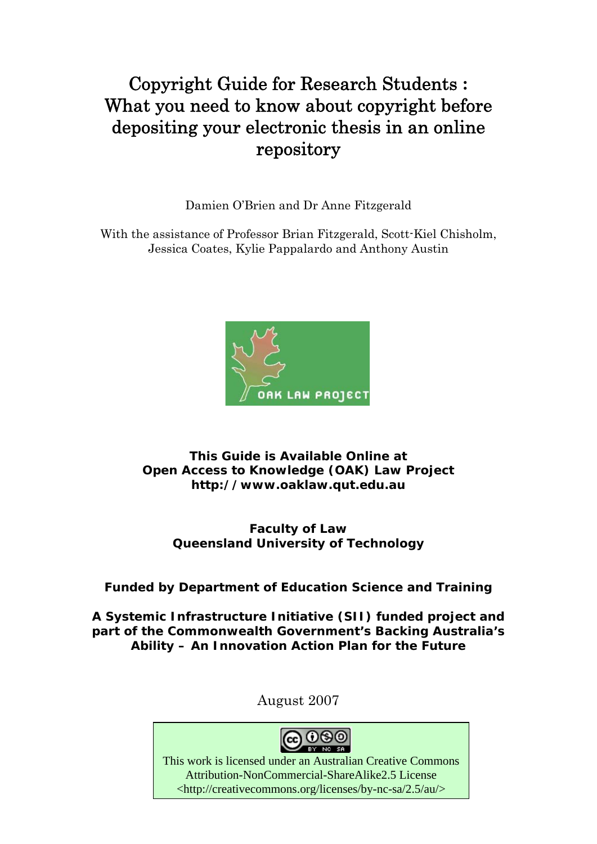# Copyright Guide for Research Students **:**  What you need to know about copyright before depositing your electronic thesis in an online repository

Damien O'Brien and Dr Anne Fitzgerald

With the assistance of Professor Brian Fitzgerald, Scott-Kiel Chisholm, Jessica Coates, Kylie Pappalardo and Anthony Austin



### **This Guide is Available Online at Open Access to Knowledge (OAK) Law Project http://www.oaklaw.qut.edu.au**

## **Faculty of Law Queensland University of Technology**

## **Funded by Department of Education Science and Training**

**A Systemic Infrastructure Initiative (SII) funded project and part of the Commonwealth Government's** *Backing Australia's Ability – An Innovation Action Plan for the Future* 

August 2007



 This work is licensed under an Australian Creative Commons Attribution-NonCommercial-ShareAlike2.5 License <http://creativecommons.org/licenses/by-nc-sa/2.5/au/>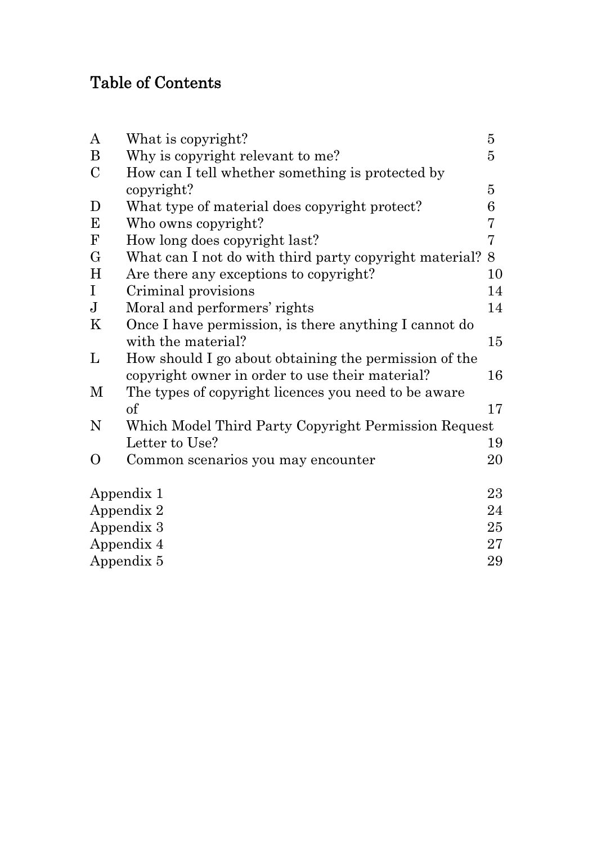# Table of Contents

| $\bf{A}$         | What is copyright?                                     | $\overline{5}$ |  |
|------------------|--------------------------------------------------------|----------------|--|
| B                | Why is copyright relevant to me?                       | 5              |  |
| $\mathbf C$      | How can I tell whether something is protected by       |                |  |
|                  | copyright?                                             | $\overline{5}$ |  |
| D                | What type of material does copyright protect?          | 6              |  |
| E                | Who owns copyright?                                    | 7              |  |
| $\mathbf{F}$     | How long does copyright last?                          | $\overline{7}$ |  |
| $\mathbf G$      | What can I not do with third party copyright material? | 8              |  |
| H                | Are there any exceptions to copyright?                 | 10             |  |
| I                | Criminal provisions                                    | 14             |  |
| ${\bf J}$        | Moral and performers' rights                           | 14             |  |
| K                | Once I have permission, is there anything I cannot do  |                |  |
|                  | with the material?                                     | 15             |  |
| L                | How should I go about obtaining the permission of the  |                |  |
|                  | copyright owner in order to use their material?        | 16             |  |
| M                | The types of copyright licences you need to be aware   |                |  |
|                  | $\sigma$                                               | 17             |  |
| N                | Which Model Third Party Copyright Permission Request   |                |  |
|                  | Letter to Use?                                         | 19             |  |
| $\Omega$         | Common scenarios you may encounter                     | 20             |  |
|                  | Appendix 1                                             | 23             |  |
| Appendix 2       |                                                        |                |  |
| Appendix 3       |                                                        |                |  |
| Appendix 4       |                                                        |                |  |
| Appendix 5<br>29 |                                                        |                |  |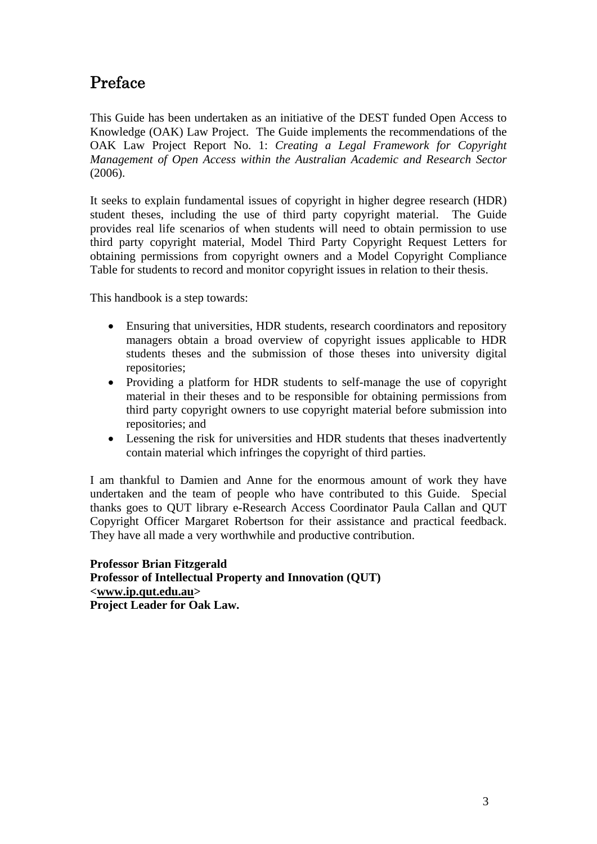# Preface

This Guide has been undertaken as an initiative of the DEST funded Open Access to Knowledge (OAK) Law Project. The Guide implements the recommendations of the OAK Law Project Report No. 1: *Creating a Legal Framework for Copyright Management of Open Access within the Australian Academic and Research Sector*  (2006).

It seeks to explain fundamental issues of copyright in higher degree research (HDR) student theses, including the use of third party copyright material. The Guide provides real life scenarios of when students will need to obtain permission to use third party copyright material, Model Third Party Copyright Request Letters for obtaining permissions from copyright owners and a Model Copyright Compliance Table for students to record and monitor copyright issues in relation to their thesis.

This handbook is a step towards:

- Ensuring that universities, HDR students, research coordinators and repository managers obtain a broad overview of copyright issues applicable to HDR students theses and the submission of those theses into university digital repositories;
- Providing a platform for HDR students to self-manage the use of copyright material in their theses and to be responsible for obtaining permissions from third party copyright owners to use copyright material before submission into repositories; and
- Lessening the risk for universities and HDR students that theses inadvertently contain material which infringes the copyright of third parties.

I am thankful to Damien and Anne for the enormous amount of work they have undertaken and the team of people who have contributed to this Guide. Special thanks goes to QUT library e-Research Access Coordinator Paula Callan and QUT Copyright Officer Margaret Robertson for their assistance and practical feedback. They have all made a very worthwhile and productive contribution.

**Professor Brian Fitzgerald Professor of Intellectual Property and Innovation (QUT) <www.ip.qut.edu.au> Project Leader for Oak Law.**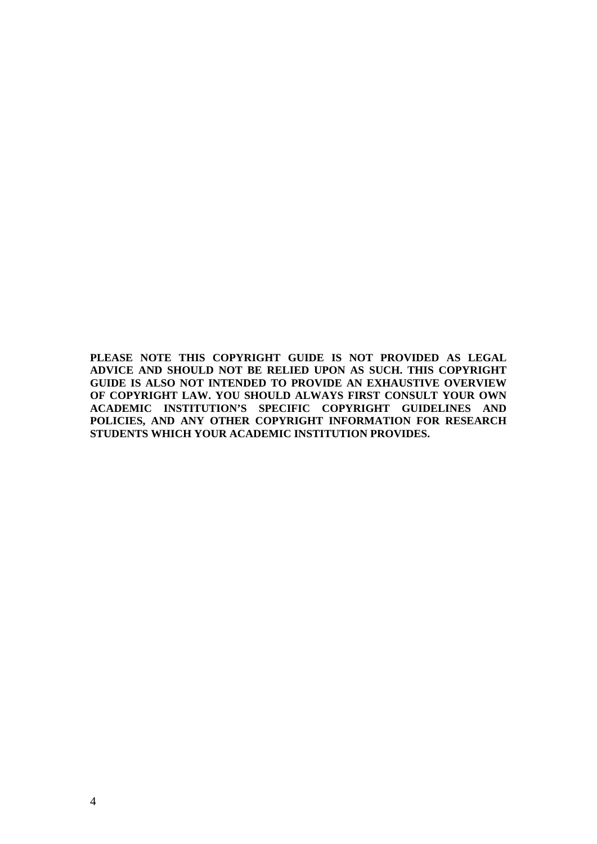**PLEASE NOTE THIS COPYRIGHT GUIDE IS NOT PROVIDED AS LEGAL ADVICE AND SHOULD NOT BE RELIED UPON AS SUCH. THIS COPYRIGHT GUIDE IS ALSO NOT INTENDED TO PROVIDE AN EXHAUSTIVE OVERVIEW OF COPYRIGHT LAW. YOU SHOULD ALWAYS FIRST CONSULT YOUR OWN ACADEMIC INSTITUTION'S SPECIFIC COPYRIGHT GUIDELINES AND POLICIES, AND ANY OTHER COPYRIGHT INFORMATION FOR RESEARCH STUDENTS WHICH YOUR ACADEMIC INSTITUTION PROVIDES.**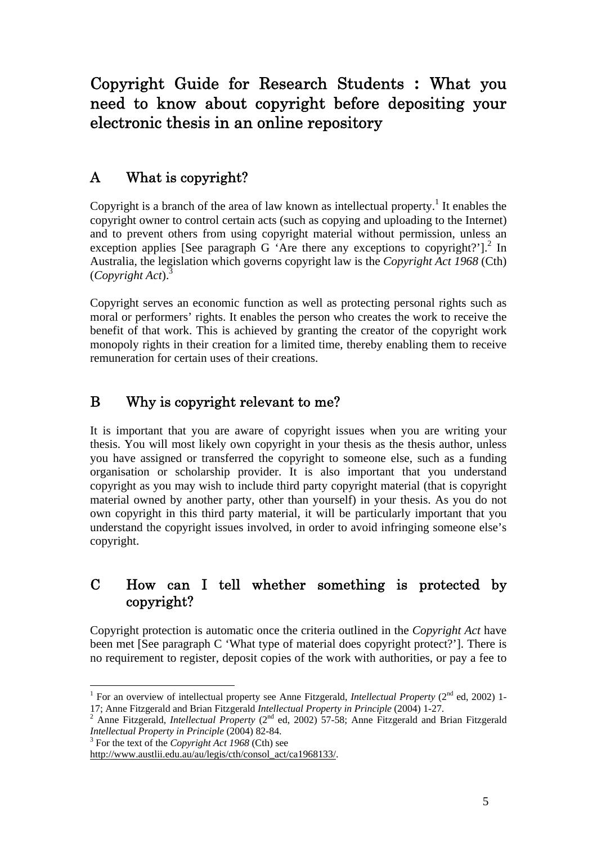Copyright Guide for Research Students **:** What you need to know about copyright before depositing your electronic thesis in an online repository

## A What is copyright?

Copyright is a branch of the area of law known as intellectual property.<sup>1</sup> It enables the copyright owner to control certain acts (such as copying and uploading to the Internet) and to prevent others from using copyright material without permission, unless an exception applies [See paragraph G 'Are there any exceptions to copyright?'].<sup>2</sup> In Australia, the legislation which governs copyright law is the *Copyright Act 1968* (Cth) (*Copyright Act*).3

Copyright serves an economic function as well as protecting personal rights such as moral or performers' rights. It enables the person who creates the work to receive the benefit of that work. This is achieved by granting the creator of the copyright work monopoly rights in their creation for a limited time, thereby enabling them to receive remuneration for certain uses of their creations.

## B Why is copyright relevant to me?

It is important that you are aware of copyright issues when you are writing your thesis. You will most likely own copyright in your thesis as the thesis author, unless you have assigned or transferred the copyright to someone else, such as a funding organisation or scholarship provider. It is also important that you understand copyright as you may wish to include third party copyright material (that is copyright material owned by another party, other than yourself) in your thesis. As you do not own copyright in this third party material, it will be particularly important that you understand the copyright issues involved, in order to avoid infringing someone else's copyright.

## C How can I tell whether something is protected by copyright?

Copyright protection is automatic once the criteria outlined in the *Copyright Act* have been met [See paragraph C 'What type of material does copyright protect?']. There is no requirement to register, deposit copies of the work with authorities, or pay a fee to

For the text of the *Copyright Act 1968* (Cth) see

<sup>&</sup>lt;sup>1</sup> For an overview of intellectual property see Anne Fitzgerald, *Intellectual Property* ( $2<sup>nd</sup>$  ed, 2002) 1-17; Anne Fitzgerald and Brian Fitzgerald *Intellectual Property in Principle* (2004) 1-27. 2

<sup>&</sup>lt;sup>2</sup> Anne Fitzgerald, *Intellectual Property* (2<sup>nd</sup> ed, 2002) 57-58; Anne Fitzgerald and Brian Fitzgerald *Intellectual Property in Principle* (2004) 82-84.

http://www.austlii.edu.au/au/legis/cth/consol\_act/ca1968133/.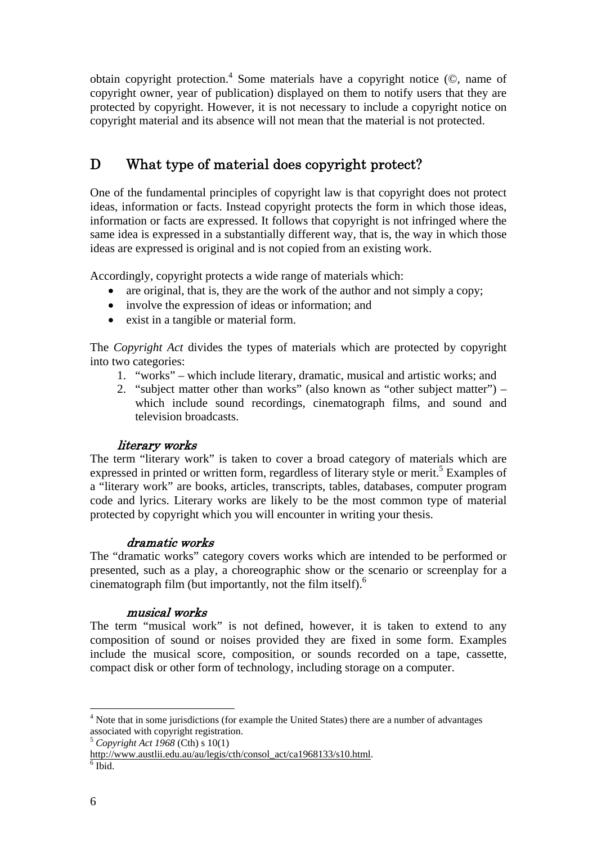obtain copyright protection.<sup>4</sup> Some materials have a copyright notice  $(\mathbb{O})$ , name of copyright owner, year of publication) displayed on them to notify users that they are protected by copyright. However, it is not necessary to include a copyright notice on copyright material and its absence will not mean that the material is not protected.

## D What type of material does copyright protect?

One of the fundamental principles of copyright law is that copyright does not protect ideas, information or facts. Instead copyright protects the form in which those ideas, information or facts are expressed. It follows that copyright is not infringed where the same idea is expressed in a substantially different way, that is, the way in which those ideas are expressed is original and is not copied from an existing work.

Accordingly, copyright protects a wide range of materials which:

- are original, that is, they are the work of the author and not simply a copy;
- involve the expression of ideas or information; and
- exist in a tangible or material form.

The *Copyright Act* divides the types of materials which are protected by copyright into two categories:

- 1. "works" which include literary, dramatic, musical and artistic works; and
- 2. "subject matter other than works" (also known as "other subject matter") which include sound recordings, cinematograph films, and sound and television broadcasts.

### literary works

The term "literary work" is taken to cover a broad category of materials which are expressed in printed or written form, regardless of literary style or merit.<sup>5</sup> Examples of a "literary work" are books, articles, transcripts, tables, databases, computer program code and lyrics. Literary works are likely to be the most common type of material protected by copyright which you will encounter in writing your thesis.

### dramatic works

The "dramatic works" category covers works which are intended to be performed or presented, such as a play, a choreographic show or the scenario or screenplay for a cinematograph film (but importantly, not the film itself). $<sup>6</sup>$ </sup>

#### musical works

The term "musical work" is not defined, however, it is taken to extend to any composition of sound or noises provided they are fixed in some form. Examples include the musical score, composition, or sounds recorded on a tape, cassette, compact disk or other form of technology, including storage on a computer.

 $4$  Note that in some jurisdictions (for example the United States) there are a number of advantages associated with copyright registration. 5 *Copyright Act 1968* (Cth) s 10(1)

http://www.austlii.edu.au/au/legis/cth/consol\_act/ca1968133/s10.html. 6

 $6$  Ibid.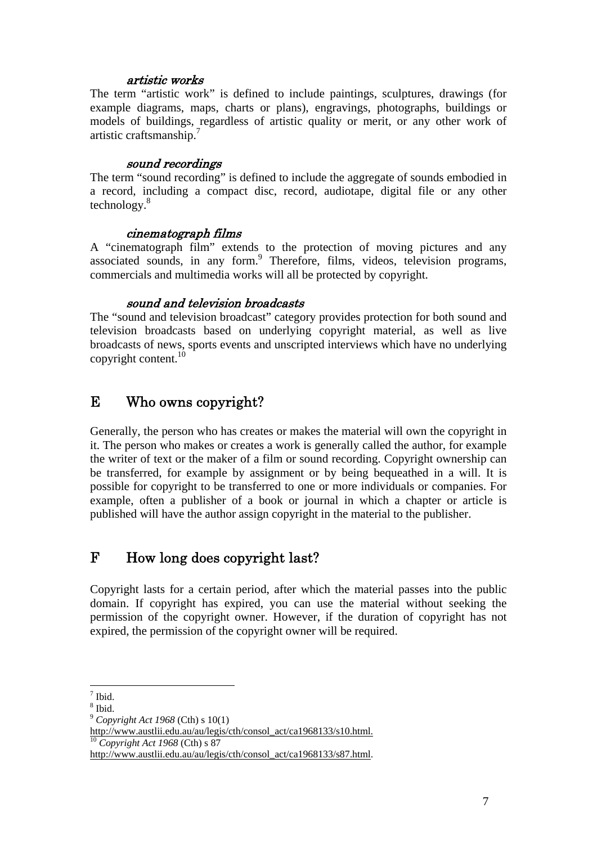#### artistic works

The term "artistic work" is defined to include paintings, sculptures, drawings (for example diagrams, maps, charts or plans), engravings, photographs, buildings or models of buildings, regardless of artistic quality or merit, or any other work of artistic craftsmanship.<sup>7</sup>

#### sound recordings

The term "sound recording" is defined to include the aggregate of sounds embodied in a record, including a compact disc, record, audiotape, digital file or any other technology.8

#### cinematograph films

A "cinematograph film" extends to the protection of moving pictures and any associated sounds, in any form.<sup>9</sup> Therefore, films, videos, television programs, commercials and multimedia works will all be protected by copyright.

#### sound and television broadcasts

The "sound and television broadcast" category provides protection for both sound and television broadcasts based on underlying copyright material, as well as live broadcasts of news, sports events and unscripted interviews which have no underlying copyright content. $10$ 

## E Who owns copyright?

Generally, the person who has creates or makes the material will own the copyright in it. The person who makes or creates a work is generally called the author, for example the writer of text or the maker of a film or sound recording. Copyright ownership can be transferred, for example by assignment or by being bequeathed in a will. It is possible for copyright to be transferred to one or more individuals or companies. For example, often a publisher of a book or journal in which a chapter or article is published will have the author assign copyright in the material to the publisher.

## F How long does copyright last?

Copyright lasts for a certain period, after which the material passes into the public domain. If copyright has expired, you can use the material without seeking the permission of the copyright owner. However, if the duration of copyright has not expired, the permission of the copyright owner will be required.

<sup>7</sup> Ibid.

<sup>8</sup> Ibid.

<sup>9</sup>  *Copyright Act 1968* (Cth) s 10(1)

http://www.austlii.edu.au/au/legis/cth/consol\_act/ca1968133/s10.html. <sup>10</sup> *Copyright Act 1968* (Cth) s 87

http://www.austlii.edu.au/au/legis/cth/consol\_act/ca1968133/s87.html.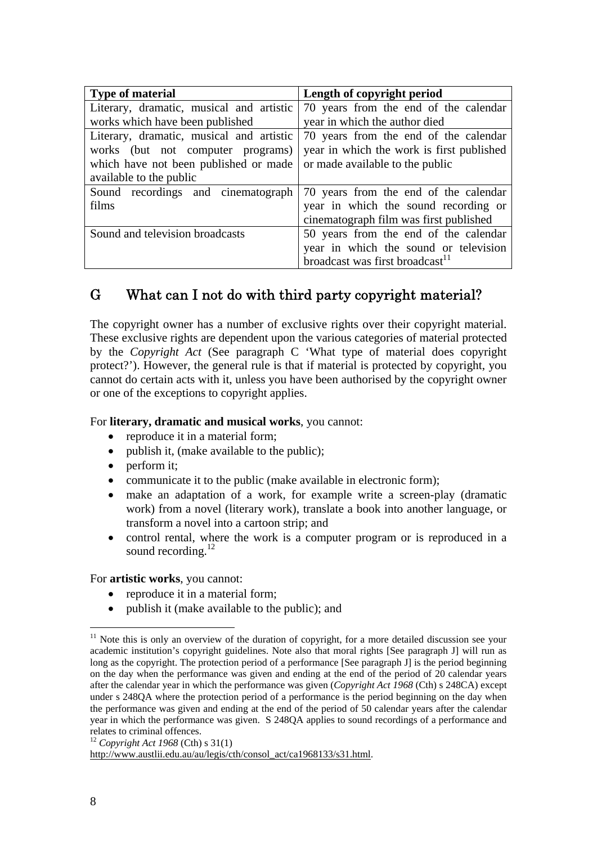| <b>Type of material</b>                  | Length of copyright period                  |  |  |  |
|------------------------------------------|---------------------------------------------|--|--|--|
| Literary, dramatic, musical and artistic | 70 years from the end of the calendar       |  |  |  |
| works which have been published          | year in which the author died               |  |  |  |
| Literary, dramatic, musical and artistic | 70 years from the end of the calendar       |  |  |  |
| works (but not computer programs)        | year in which the work is first published   |  |  |  |
| which have not been published or made    | or made available to the public             |  |  |  |
| available to the public                  |                                             |  |  |  |
| Sound recordings and cinematograph       | 70 years from the end of the calendar       |  |  |  |
| films                                    | year in which the sound recording or        |  |  |  |
|                                          | cinematograph film was first published      |  |  |  |
| Sound and television broadcasts          | 50 years from the end of the calendar       |  |  |  |
|                                          | year in which the sound or television       |  |  |  |
|                                          | broadcast was first broadcast <sup>11</sup> |  |  |  |

## G What can I not do with third party copyright material?

The copyright owner has a number of exclusive rights over their copyright material. These exclusive rights are dependent upon the various categories of material protected by the *Copyright Act* (See paragraph C 'What type of material does copyright protect?'). However, the general rule is that if material is protected by copyright, you cannot do certain acts with it, unless you have been authorised by the copyright owner or one of the exceptions to copyright applies.

#### For **literary, dramatic and musical works**, you cannot:

- reproduce it in a material form;
- publish it, (make available to the public):
- perform it;
- communicate it to the public (make available in electronic form);
- make an adaptation of a work, for example write a screen-play (dramatic work) from a novel (literary work), translate a book into another language, or transform a novel into a cartoon strip; and
- control rental, where the work is a computer program or is reproduced in a sound recording.<sup>12</sup>

For **artistic works**, you cannot:

- reproduce it in a material form;
- publish it (make available to the public); and

 $11$  Note this is only an overview of the duration of copyright, for a more detailed discussion see your academic institution's copyright guidelines. Note also that moral rights [See paragraph J] will run as long as the copyright. The protection period of a performance [See paragraph J] is the period beginning on the day when the performance was given and ending at the end of the period of 20 calendar years after the calendar year in which the performance was given (*Copyright Act 1968* (Cth) s 248CA) except under s 248QA where the protection period of a performance is the period beginning on the day when the performance was given and ending at the end of the period of 50 calendar years after the calendar year in which the performance was given. S 248QA applies to sound recordings of a performance and relates to criminal offences.

<sup>12</sup> *Copyright Act 1968* (Cth) s 31(1)

http://www.austlii.edu.au/au/legis/cth/consol\_act/ca1968133/s31.html.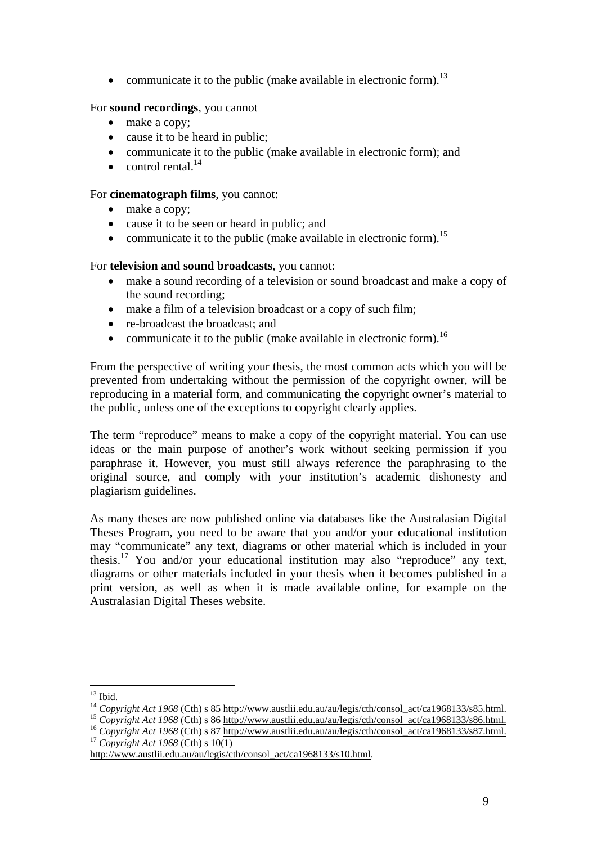• communicate it to the public (make available in electronic form).<sup>13</sup>

### For **sound recordings**, you cannot

- make a copy;
- cause it to be heard in public;
- communicate it to the public (make available in electronic form); and
- $\epsilon$  control rental.<sup>14</sup>

#### For **cinematograph films**, you cannot:

- make a copy;
- cause it to be seen or heard in public; and
- communicate it to the public (make available in electronic form).<sup>15</sup>

### For **television and sound broadcasts**, you cannot:

- make a sound recording of a television or sound broadcast and make a copy of the sound recording;
- make a film of a television broadcast or a copy of such film;
- re-broadcast the broadcast: and
- communicate it to the public (make available in electronic form).<sup>16</sup>

From the perspective of writing your thesis, the most common acts which you will be prevented from undertaking without the permission of the copyright owner, will be reproducing in a material form, and communicating the copyright owner's material to the public, unless one of the exceptions to copyright clearly applies.

The term "reproduce" means to make a copy of the copyright material. You can use ideas or the main purpose of another's work without seeking permission if you paraphrase it. However, you must still always reference the paraphrasing to the original source, and comply with your institution's academic dishonesty and plagiarism guidelines.

As many theses are now published online via databases like the Australasian Digital Theses Program, you need to be aware that you and/or your educational institution may "communicate" any text, diagrams or other material which is included in your thesis.17 You and/or your educational institution may also "reproduce" any text, diagrams or other materials included in your thesis when it becomes published in a print version, as well as when it is made available online, for example on the Australasian Digital Theses website.

 $13$  Ibid.

<sup>&</sup>lt;sup>14</sup> Copyright Act 1968 (Cth) s 85 http://www.austlii.edu.au/au/legis/cth/consol\_act/ca1968133/s85.html.<br><sup>15</sup> Copyright Act 1968 (Cth) s 86 <u>http://www.austlii.edu.au/au/legis/cth/consol\_act/ca1968133/s86.html.</u><br><sup>16</sup> Copy

http://www.austlii.edu.au/au/legis/cth/consol\_act/ca1968133/s10.html.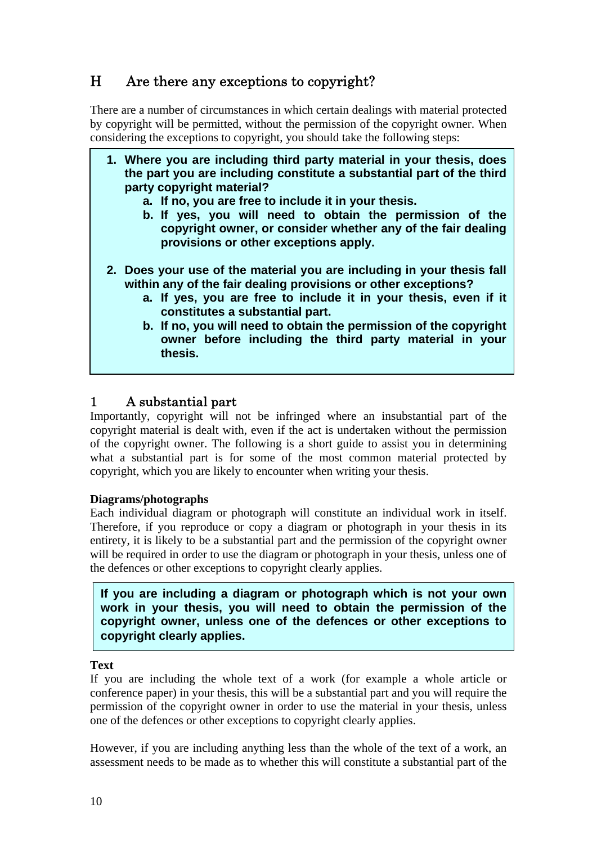## H Are there any exceptions to copyright?

There are a number of circumstances in which certain dealings with material protected by copyright will be permitted, without the permission of the copyright owner. When considering the exceptions to copyright, you should take the following steps:

- **1. Where you are including third party material in your thesis, does the part you are including constitute a substantial part of the third party copyright material?** 
	- **a. If no, you are free to include it in your thesis.**
	- **b. If yes, you will need to obtain the permission of the copyright owner, or consider whether any of the fair dealing provisions or other exceptions apply.**
- **2. Does your use of the material you are including in your thesis fall within any of the fair dealing provisions or other exceptions?** 
	- **a. If yes, you are free to include it in your thesis, even if it constitutes a substantial part.**
	- **b. If no, you will need to obtain the permission of the copyright owner before including the third party material in your thesis.**

## 1 A substantial part

Importantly, copyright will not be infringed where an insubstantial part of the copyright material is dealt with, even if the act is undertaken without the permission of the copyright owner. The following is a short guide to assist you in determining what a substantial part is for some of the most common material protected by copyright, which you are likely to encounter when writing your thesis.

### **Diagrams/photographs**

Each individual diagram or photograph will constitute an individual work in itself. Therefore, if you reproduce or copy a diagram or photograph in your thesis in its entirety, it is likely to be a substantial part and the permission of the copyright owner will be required in order to use the diagram or photograph in your thesis, unless one of the defences or other exceptions to copyright clearly applies.

**If you are including a diagram or photograph which is not your own work in your thesis, you will need to obtain the permission of the copyright owner, unless one of the defences or other exceptions to copyright clearly applies.** 

**Text** 

I

If you are including the whole text of a work (for example a whole article or conference paper) in your thesis, this will be a substantial part and you will require the permission of the copyright owner in order to use the material in your thesis, unless one of the defences or other exceptions to copyright clearly applies.

However, if you are including anything less than the whole of the text of a work, an assessment needs to be made as to whether this will constitute a substantial part of the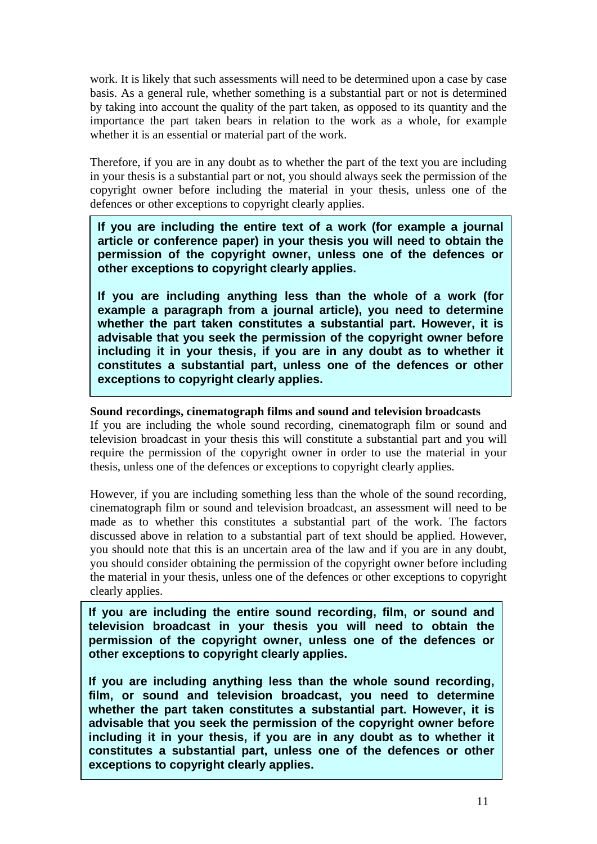work. It is likely that such assessments will need to be determined upon a case by case basis. As a general rule, whether something is a substantial part or not is determined by taking into account the quality of the part taken, as opposed to its quantity and the importance the part taken bears in relation to the work as a whole, for example whether it is an essential or material part of the work.

Therefore, if you are in any doubt as to whether the part of the text you are including in your thesis is a substantial part or not, you should always seek the permission of the copyright owner before including the material in your thesis, unless one of the defences or other exceptions to copyright clearly applies.

**If you are including the entire text of a work (for example a journal article or conference paper) in your thesis you will need to obtain the permission of the copyright owner, unless one of the defences or other exceptions to copyright clearly applies.** 

**If you are including anything less than the whole of a work (for example a paragraph from a journal article), you need to determine whether the part taken constitutes a substantial part. However, it is advisable that you seek the permission of the copyright owner before including it in your thesis, if you are in any doubt as to whether it constitutes a substantial part, unless one of the defences or other exceptions to copyright clearly applies.** 

#### **Sound recordings, cinematograph films and sound and television broadcasts**

If you are including the whole sound recording, cinematograph film or sound and television broadcast in your thesis this will constitute a substantial part and you will require the permission of the copyright owner in order to use the material in your thesis, unless one of the defences or exceptions to copyright clearly applies.

However, if you are including something less than the whole of the sound recording, cinematograph film or sound and television broadcast, an assessment will need to be made as to whether this constitutes a substantial part of the work. The factors discussed above in relation to a substantial part of text should be applied. However, you should note that this is an uncertain area of the law and if you are in any doubt, you should consider obtaining the permission of the copyright owner before including the material in your thesis, unless one of the defences or other exceptions to copyright clearly applies.

**If you are including the entire sound recording, film, or sound and television broadcast in your thesis you will need to obtain the permission of the copyright owner, unless one of the defences or other exceptions to copyright clearly applies.** 

advisable that you seek the permission of the copyright owner before including it in your thesis, if you are in any doubt as to whether it **If you are including anything less than the whole sound recording, film, or sound and television broadcast, you need to determine whether the part taken constitutes a substantial part. However, it is advisable that you seek the permission of the copyright owner before constitutes a substantial part, unless one of the defences or other exceptions to copyright clearly applies.**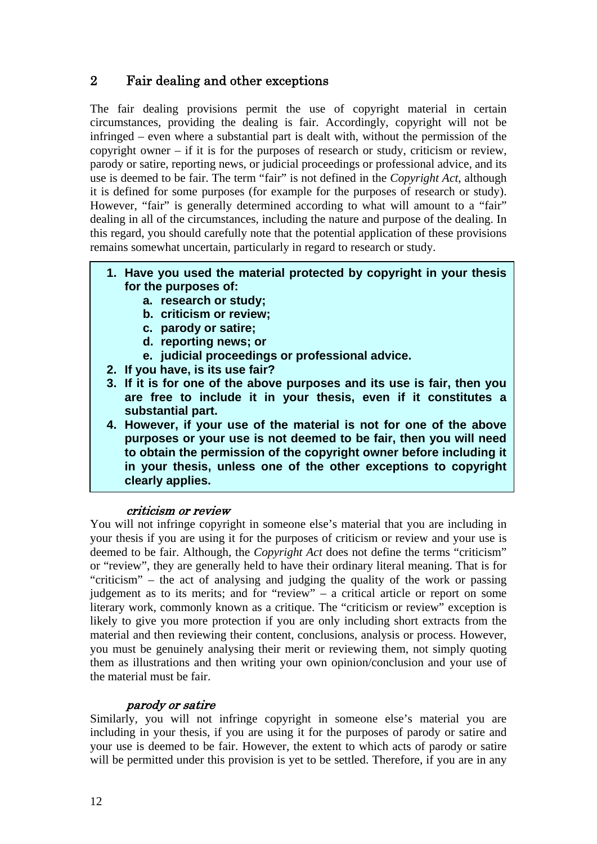## 2 Fair dealing and other exceptions

The fair dealing provisions permit the use of copyright material in certain circumstances, providing the dealing is fair. Accordingly, copyright will not be infringed – even where a substantial part is dealt with, without the permission of the copyright owner – if it is for the purposes of research or study, criticism or review, parody or satire, reporting news, or judicial proceedings or professional advice, and its use is deemed to be fair. The term "fair" is not defined in the *Copyright Act*, although it is defined for some purposes (for example for the purposes of research or study). However, "fair" is generally determined according to what will amount to a "fair" dealing in all of the circumstances, including the nature and purpose of the dealing. In this regard, you should carefully note that the potential application of these provisions remains somewhat uncertain, particularly in regard to research or study.

- **1. Have you used the material protected by copyright in your thesis for the purposes of:** 
	- **a. research or study;**
	- **b. criticism or review;**
	- **c. parody or satire;**
	- **d. reporting news; or**
	- **e. judicial proceedings or professional advice.**
- **2. If you have, is its use fair?**
- **3. If it is for one of the above purposes and its use is fair, then you are free to include it in your thesis, even if it constitutes a substantial part.**
- **4. However, if your use of the material is not for one of the above purposes or your use is not deemed to be fair, then you will need to obtain the permission of the copyright owner before including it in your thesis, unless one of the other exceptions to copyright clearly applies.**

### criticism or review

You will not infringe copyright in someone else's material that you are including in your thesis if you are using it for the purposes of criticism or review and your use is deemed to be fair. Although, the *Copyright Act* does not define the terms "criticism" or "review", they are generally held to have their ordinary literal meaning. That is for "criticism" – the act of analysing and judging the quality of the work or passing judgement as to its merits; and for "review" – a critical article or report on some literary work, commonly known as a critique. The "criticism or review" exception is likely to give you more protection if you are only including short extracts from the material and then reviewing their content, conclusions, analysis or process. However, you must be genuinely analysing their merit or reviewing them, not simply quoting them as illustrations and then writing your own opinion/conclusion and your use of the material must be fair.

#### parody or satire

Similarly, you will not infringe copyright in someone else's material you are including in your thesis, if you are using it for the purposes of parody or satire and your use is deemed to be fair. However, the extent to which acts of parody or satire will be permitted under this provision is yet to be settled. Therefore, if you are in any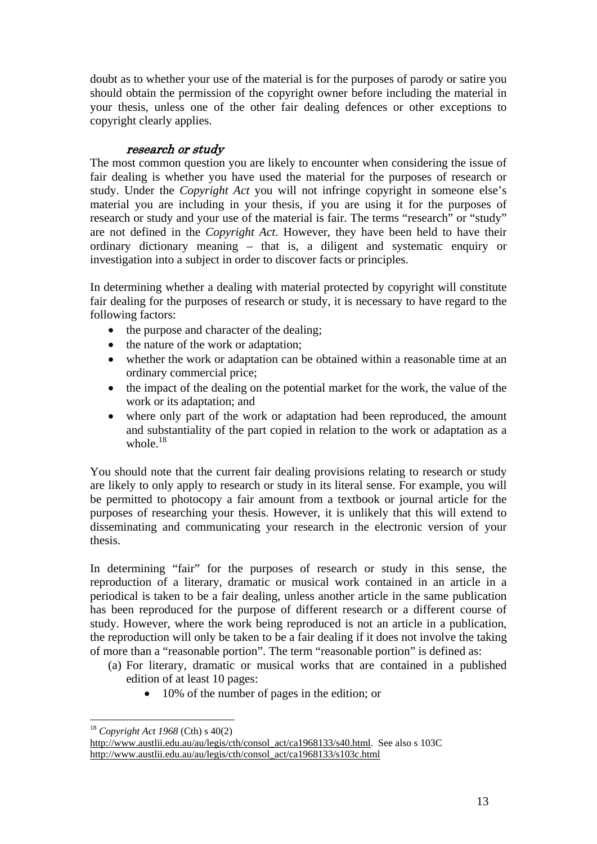doubt as to whether your use of the material is for the purposes of parody or satire you should obtain the permission of the copyright owner before including the material in your thesis, unless one of the other fair dealing defences or other exceptions to copyright clearly applies.

### research or study

The most common question you are likely to encounter when considering the issue of fair dealing is whether you have used the material for the purposes of research or study. Under the *Copyright Act* you will not infringe copyright in someone else's material you are including in your thesis, if you are using it for the purposes of research or study and your use of the material is fair. The terms "research" or "study" are not defined in the *Copyright Act*. However, they have been held to have their ordinary dictionary meaning – that is, a diligent and systematic enquiry or investigation into a subject in order to discover facts or principles.

In determining whether a dealing with material protected by copyright will constitute fair dealing for the purposes of research or study, it is necessary to have regard to the following factors:

- the purpose and character of the dealing;
- the nature of the work or adaptation;
- whether the work or adaptation can be obtained within a reasonable time at an ordinary commercial price;
- the impact of the dealing on the potential market for the work, the value of the work or its adaptation; and
- where only part of the work or adaptation had been reproduced, the amount and substantiality of the part copied in relation to the work or adaptation as a whole. $18$

You should note that the current fair dealing provisions relating to research or study are likely to only apply to research or study in its literal sense. For example, you will be permitted to photocopy a fair amount from a textbook or journal article for the purposes of researching your thesis. However, it is unlikely that this will extend to disseminating and communicating your research in the electronic version of your thesis.

In determining "fair" for the purposes of research or study in this sense, the reproduction of a literary, dramatic or musical work contained in an article in a periodical is taken to be a fair dealing, unless another article in the same publication has been reproduced for the purpose of different research or a different course of study. However, where the work being reproduced is not an article in a publication, the reproduction will only be taken to be a fair dealing if it does not involve the taking of more than a "reasonable portion". The term "reasonable portion" is defined as:

- (a) For literary, dramatic or musical works that are contained in a published edition of at least 10 pages:
	- 10% of the number of pages in the edition; or

<sup>18</sup> *Copyright Act 1968* (Cth) s 40(2)

http://www.austlii.edu.au/au/legis/cth/consol\_act/ca1968133/s40.html. See also s 103C http://www.austlii.edu.au/au/legis/cth/consol\_act/ca1968133/s103c.html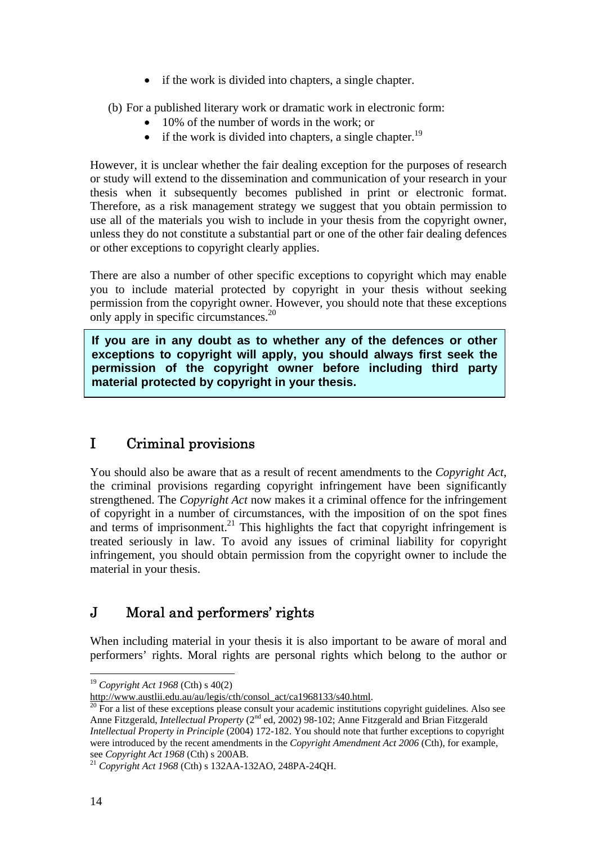- if the work is divided into chapters, a single chapter.
- (b) For a published literary work or dramatic work in electronic form:
	- 10% of the number of words in the work; or
	- if the work is divided into chapters, a single chapter.<sup>19</sup>

However, it is unclear whether the fair dealing exception for the purposes of research or study will extend to the dissemination and communication of your research in your thesis when it subsequently becomes published in print or electronic format. Therefore, as a risk management strategy we suggest that you obtain permission to use all of the materials you wish to include in your thesis from the copyright owner, unless they do not constitute a substantial part or one of the other fair dealing defences or other exceptions to copyright clearly applies.

There are also a number of other specific exceptions to copyright which may enable you to include material protected by copyright in your thesis without seeking permission from the copyright owner. However, you should note that these exceptions only apply in specific circumstances.<sup>20</sup>

**If you are in any doubt as to whether any of the defences or other exceptions to copyright will apply, you should always first seek the permission of the copyright owner before including third party material protected by copyright in your thesis.** 

## I Criminal provisions

You should also be aware that as a result of recent amendments to the *Copyright Act*, the criminal provisions regarding copyright infringement have been significantly strengthened. The *Copyright Act* now makes it a criminal offence for the infringement of copyright in a number of circumstances, with the imposition of on the spot fines and terms of imprisonment.<sup>21</sup> This highlights the fact that copyright infringement is treated seriously in law. To avoid any issues of criminal liability for copyright infringement, you should obtain permission from the copyright owner to include the material in your thesis.

## J Moral and performers' rights

When including material in your thesis it is also important to be aware of moral and performers' rights. Moral rights are personal rights which belong to the author or

 $\overline{a}$ <sup>19</sup> *Copyright Act 1968* (Cth) s 40(2)

http://www.austlii.edu.au/au/legis/cth/consol\_act/ca1968133/s40.html.<br> $\frac{20}{20}$  For a list of these exceptions please consult your academic institutions copyright guidelines. Also see Anne Fitzgerald, *Intellectual Property* (2<sup>nd</sup> ed, 2002) 98-102; Anne Fitzgerald and Brian Fitzgerald *Intellectual Property in Principle* (2004) 172-182. You should note that further exceptions to copyright were introduced by the recent amendments in the *Copyright Amendment Act 2006* (Cth), for example, see *Copyright Act 1968* (Cth) s 200AB. 21 *Copyright Act 1968* (Cth) s 132AA-132AO, 248PA-24QH.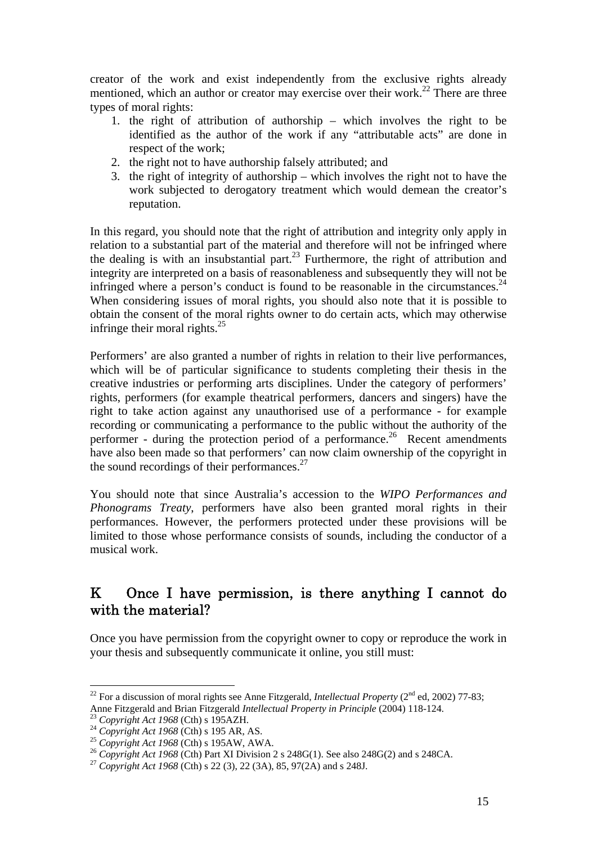creator of the work and exist independently from the exclusive rights already mentioned, which an author or creator may exercise over their work.<sup>22</sup> There are three types of moral rights:

- 1. the right of attribution of authorship which involves the right to be identified as the author of the work if any "attributable acts" are done in respect of the work;
- 2. the right not to have authorship falsely attributed; and
- 3. the right of integrity of authorship which involves the right not to have the work subjected to derogatory treatment which would demean the creator's reputation.

In this regard, you should note that the right of attribution and integrity only apply in relation to a substantial part of the material and therefore will not be infringed where the dealing is with an insubstantial part.<sup>23</sup> Furthermore, the right of attribution and integrity are interpreted on a basis of reasonableness and subsequently they will not be infringed where a person's conduct is found to be reasonable in the circumstances. $24$ When considering issues of moral rights, you should also note that it is possible to obtain the consent of the moral rights owner to do certain acts, which may otherwise infringe their moral rights. $^{25}$ 

Performers' are also granted a number of rights in relation to their live performances, which will be of particular significance to students completing their thesis in the creative industries or performing arts disciplines. Under the category of performers' rights, performers (for example theatrical performers, dancers and singers) have the right to take action against any unauthorised use of a performance - for example recording or communicating a performance to the public without the authority of the performer - during the protection period of a performance.<sup>26</sup> Recent amendments have also been made so that performers' can now claim ownership of the copyright in the sound recordings of their performances. $27$ 

You should note that since Australia's accession to the *WIPO Performances and Phonograms Treaty*, performers have also been granted moral rights in their performances. However, the performers protected under these provisions will be limited to those whose performance consists of sounds, including the conductor of a musical work.

## K Once I have permission, is there anything I cannot do with the material?

Once you have permission from the copyright owner to copy or reproduce the work in your thesis and subsequently communicate it online, you still must:

<sup>&</sup>lt;sup>22</sup> For a discussion of moral rights see Anne Fitzgerald, *Intellectual Property* ( $2<sup>nd</sup>$  ed, 2002) 77-83; Anne Fitzgerald and Brian Fitzgerald *Intellectual Property in Principle* (2004) 118-124.<br>
<sup>23</sup> Copyright Act 1968 (Cth) s 195 AR, AS.<br>
<sup>24</sup> Copyright Act 1968 (Cth) s 195 AR, AS.<br>
<sup>25</sup> Copyright Act 1968 (Cth) s 195 AW,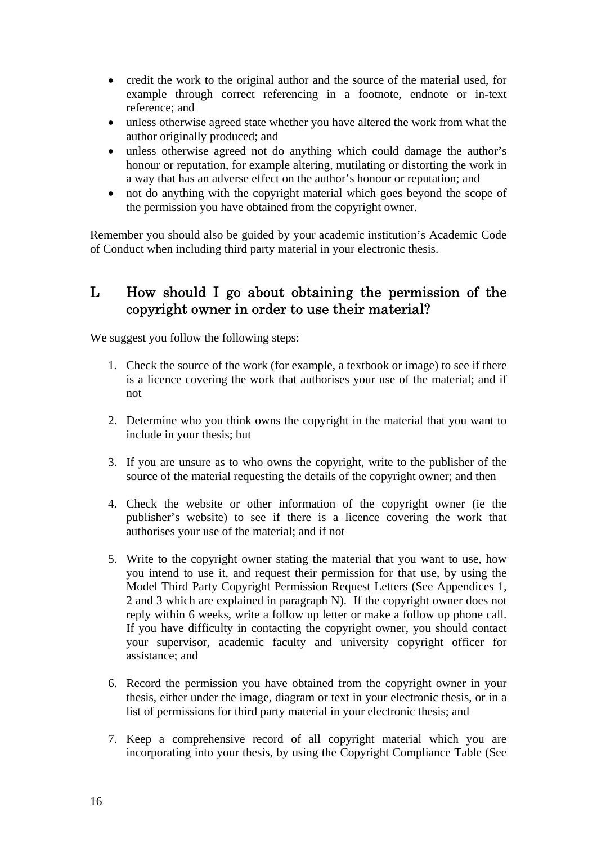- credit the work to the original author and the source of the material used, for example through correct referencing in a footnote, endnote or in-text reference; and
- unless otherwise agreed state whether you have altered the work from what the author originally produced; and
- unless otherwise agreed not do anything which could damage the author's honour or reputation, for example altering, mutilating or distorting the work in a way that has an adverse effect on the author's honour or reputation; and
- not do anything with the copyright material which goes beyond the scope of the permission you have obtained from the copyright owner.

Remember you should also be guided by your academic institution's Academic Code of Conduct when including third party material in your electronic thesis.

## L How should I go about obtaining the permission of the copyright owner in order to use their material?

We suggest you follow the following steps:

- 1. Check the source of the work (for example, a textbook or image) to see if there is a licence covering the work that authorises your use of the material; and if not
- 2. Determine who you think owns the copyright in the material that you want to include in your thesis; but
- 3. If you are unsure as to who owns the copyright, write to the publisher of the source of the material requesting the details of the copyright owner; and then
- 4. Check the website or other information of the copyright owner (ie the publisher's website) to see if there is a licence covering the work that authorises your use of the material; and if not
- 5. Write to the copyright owner stating the material that you want to use, how you intend to use it, and request their permission for that use, by using the Model Third Party Copyright Permission Request Letters (See Appendices 1, 2 and 3 which are explained in paragraph N). If the copyright owner does not reply within 6 weeks, write a follow up letter or make a follow up phone call. If you have difficulty in contacting the copyright owner, you should contact your supervisor, academic faculty and university copyright officer for assistance; and
- 6. Record the permission you have obtained from the copyright owner in your thesis, either under the image, diagram or text in your electronic thesis, or in a list of permissions for third party material in your electronic thesis; and
- 7. Keep a comprehensive record of all copyright material which you are incorporating into your thesis, by using the Copyright Compliance Table (See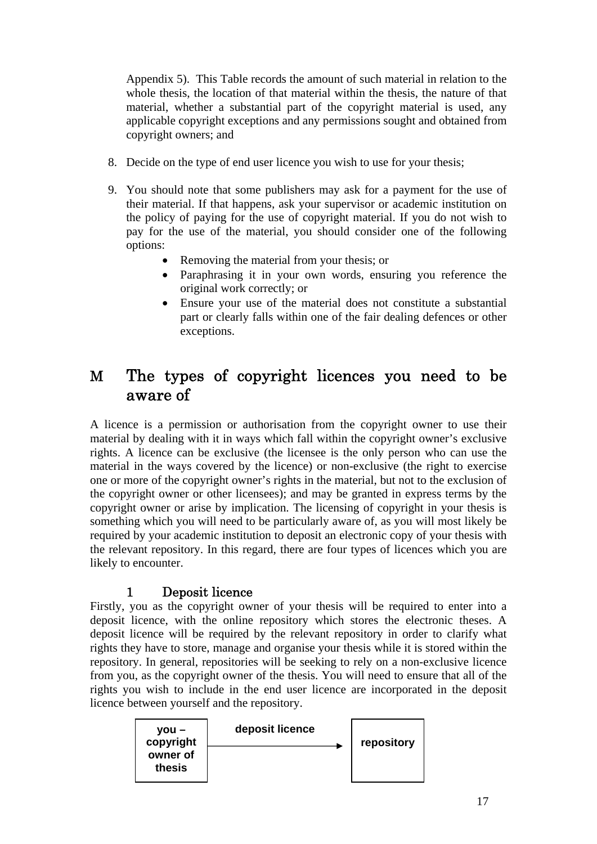Appendix 5). This Table records the amount of such material in relation to the whole thesis, the location of that material within the thesis, the nature of that material, whether a substantial part of the copyright material is used, any applicable copyright exceptions and any permissions sought and obtained from copyright owners; and

- 8. Decide on the type of end user licence you wish to use for your thesis;
- 9. You should note that some publishers may ask for a payment for the use of their material. If that happens, ask your supervisor or academic institution on the policy of paying for the use of copyright material. If you do not wish to pay for the use of the material, you should consider one of the following options:
	- Removing the material from your thesis; or
	- Paraphrasing it in your own words, ensuring you reference the original work correctly; or
	- Ensure your use of the material does not constitute a substantial part or clearly falls within one of the fair dealing defences or other exceptions.

## M The types of copyright licences you need to be aware of

A licence is a permission or authorisation from the copyright owner to use their material by dealing with it in ways which fall within the copyright owner's exclusive rights. A licence can be exclusive (the licensee is the only person who can use the material in the ways covered by the licence) or non-exclusive (the right to exercise one or more of the copyright owner's rights in the material, but not to the exclusion of the copyright owner or other licensees); and may be granted in express terms by the copyright owner or arise by implication. The licensing of copyright in your thesis is something which you will need to be particularly aware of, as you will most likely be required by your academic institution to deposit an electronic copy of your thesis with the relevant repository. In this regard, there are four types of licences which you are likely to encounter.

### 1 Deposit licence

Firstly, you as the copyright owner of your thesis will be required to enter into a deposit licence, with the online repository which stores the electronic theses. A deposit licence will be required by the relevant repository in order to clarify what rights they have to store, manage and organise your thesis while it is stored within the repository. In general, repositories will be seeking to rely on a non-exclusive licence from you, as the copyright owner of the thesis. You will need to ensure that all of the rights you wish to include in the end user licence are incorporated in the deposit licence between yourself and the repository.

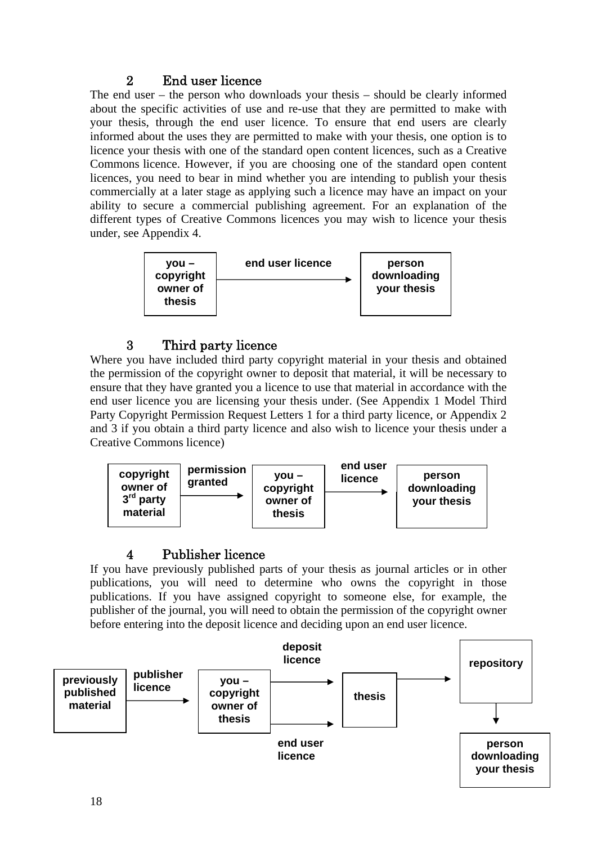## 2 End user licence

The end user – the person who downloads your thesis – should be clearly informed about the specific activities of use and re-use that they are permitted to make with your thesis, through the end user licence. To ensure that end users are clearly informed about the uses they are permitted to make with your thesis, one option is to licence your thesis with one of the standard open content licences, such as a Creative Commons licence. However, if you are choosing one of the standard open content licences, you need to bear in mind whether you are intending to publish your thesis commercially at a later stage as applying such a licence may have an impact on your ability to secure a commercial publishing agreement. For an explanation of the different types of Creative Commons licences you may wish to licence your thesis under, see Appendix 4.



## 3 Third party licence

Where you have included third party copyright material in your thesis and obtained the permission of the copyright owner to deposit that material, it will be necessary to ensure that they have granted you a licence to use that material in accordance with the end user licence you are licensing your thesis under. (See Appendix 1 Model Third Party Copyright Permission Request Letters 1 for a third party licence, or Appendix 2 and 3 if you obtain a third party licence and also wish to licence your thesis under a Creative Commons licence)



## 4 Publisher licence

If you have previously published parts of your thesis as journal articles or in other publications, you will need to determine who owns the copyright in those publications. If you have assigned copyright to someone else, for example, the publisher of the journal, you will need to obtain the permission of the copyright owner before entering into the deposit licence and deciding upon an end user licence.

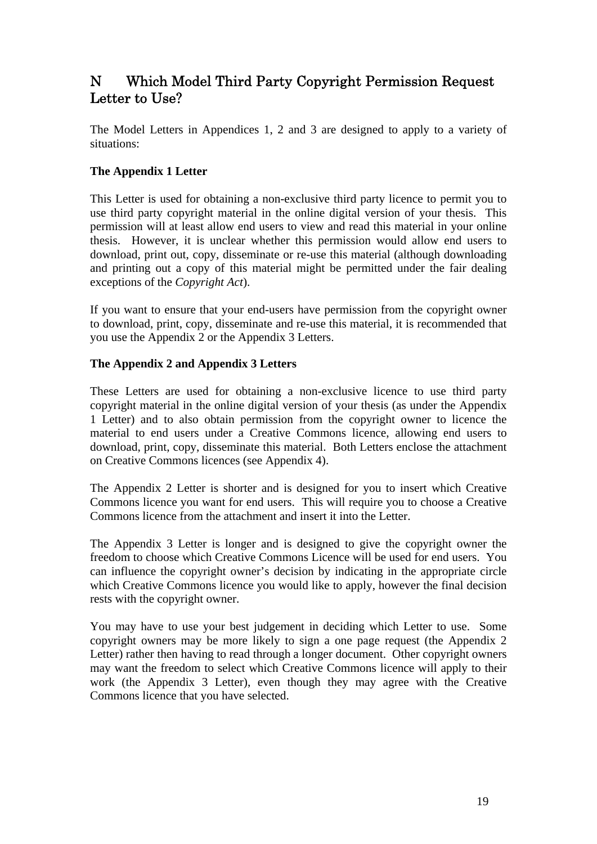## N Which Model Third Party Copyright Permission Request Letter to Use?

The Model Letters in Appendices 1, 2 and 3 are designed to apply to a variety of situations:

### **The Appendix 1 Letter**

This Letter is used for obtaining a non-exclusive third party licence to permit you to use third party copyright material in the online digital version of your thesis. This permission will at least allow end users to view and read this material in your online thesis. However, it is unclear whether this permission would allow end users to download, print out, copy, disseminate or re-use this material (although downloading and printing out a copy of this material might be permitted under the fair dealing exceptions of the *Copyright Act*).

If you want to ensure that your end-users have permission from the copyright owner to download, print, copy, disseminate and re-use this material, it is recommended that you use the Appendix 2 or the Appendix 3 Letters.

### **The Appendix 2 and Appendix 3 Letters**

These Letters are used for obtaining a non-exclusive licence to use third party copyright material in the online digital version of your thesis (as under the Appendix 1 Letter) and to also obtain permission from the copyright owner to licence the material to end users under a Creative Commons licence, allowing end users to download, print, copy, disseminate this material. Both Letters enclose the attachment on Creative Commons licences (see Appendix 4).

The Appendix 2 Letter is shorter and is designed for you to insert which Creative Commons licence you want for end users. This will require you to choose a Creative Commons licence from the attachment and insert it into the Letter.

The Appendix 3 Letter is longer and is designed to give the copyright owner the freedom to choose which Creative Commons Licence will be used for end users. You can influence the copyright owner's decision by indicating in the appropriate circle which Creative Commons licence you would like to apply, however the final decision rests with the copyright owner.

You may have to use your best judgement in deciding which Letter to use. Some copyright owners may be more likely to sign a one page request (the Appendix 2 Letter) rather then having to read through a longer document. Other copyright owners may want the freedom to select which Creative Commons licence will apply to their work (the Appendix 3 Letter), even though they may agree with the Creative Commons licence that you have selected.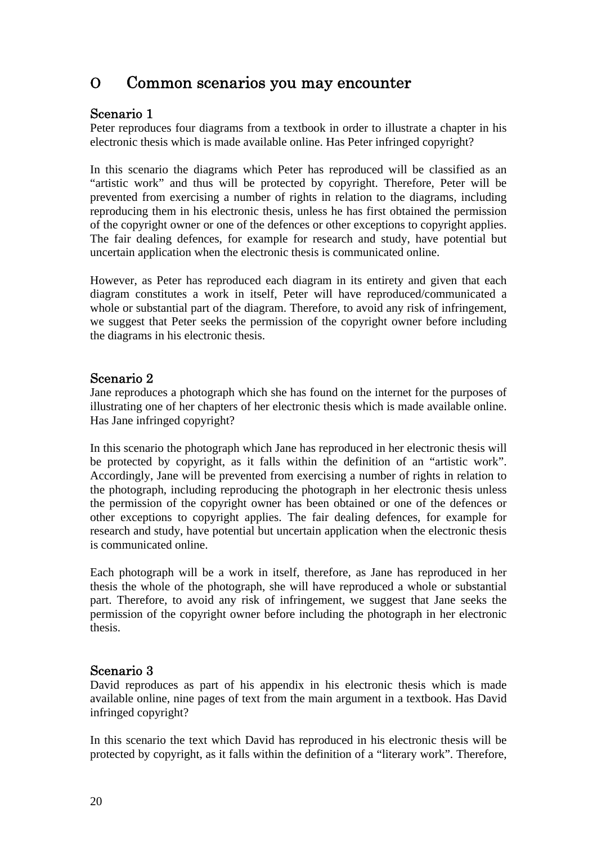## O Common scenarios you may encounter

### Scenario 1

Peter reproduces four diagrams from a textbook in order to illustrate a chapter in his electronic thesis which is made available online. Has Peter infringed copyright?

In this scenario the diagrams which Peter has reproduced will be classified as an "artistic work" and thus will be protected by copyright. Therefore, Peter will be prevented from exercising a number of rights in relation to the diagrams, including reproducing them in his electronic thesis, unless he has first obtained the permission of the copyright owner or one of the defences or other exceptions to copyright applies. The fair dealing defences, for example for research and study, have potential but uncertain application when the electronic thesis is communicated online.

However, as Peter has reproduced each diagram in its entirety and given that each diagram constitutes a work in itself, Peter will have reproduced/communicated a whole or substantial part of the diagram. Therefore, to avoid any risk of infringement, we suggest that Peter seeks the permission of the copyright owner before including the diagrams in his electronic thesis.

### Scenario 2

Jane reproduces a photograph which she has found on the internet for the purposes of illustrating one of her chapters of her electronic thesis which is made available online. Has Jane infringed copyright?

In this scenario the photograph which Jane has reproduced in her electronic thesis will be protected by copyright, as it falls within the definition of an "artistic work". Accordingly, Jane will be prevented from exercising a number of rights in relation to the photograph, including reproducing the photograph in her electronic thesis unless the permission of the copyright owner has been obtained or one of the defences or other exceptions to copyright applies. The fair dealing defences, for example for research and study, have potential but uncertain application when the electronic thesis is communicated online.

Each photograph will be a work in itself, therefore, as Jane has reproduced in her thesis the whole of the photograph, she will have reproduced a whole or substantial part. Therefore, to avoid any risk of infringement, we suggest that Jane seeks the permission of the copyright owner before including the photograph in her electronic thesis.

### Scenario 3

David reproduces as part of his appendix in his electronic thesis which is made available online, nine pages of text from the main argument in a textbook. Has David infringed copyright?

In this scenario the text which David has reproduced in his electronic thesis will be protected by copyright, as it falls within the definition of a "literary work". Therefore,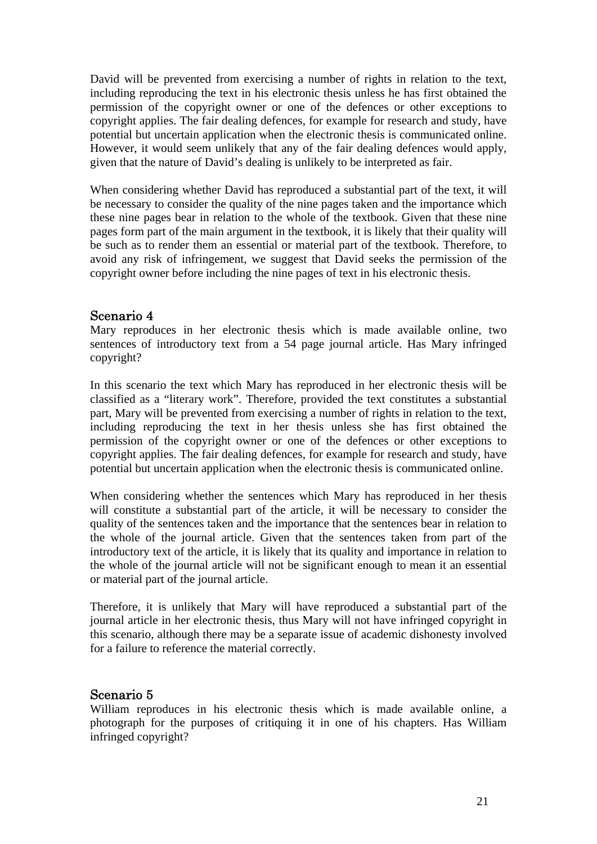David will be prevented from exercising a number of rights in relation to the text, including reproducing the text in his electronic thesis unless he has first obtained the permission of the copyright owner or one of the defences or other exceptions to copyright applies. The fair dealing defences, for example for research and study, have potential but uncertain application when the electronic thesis is communicated online. However, it would seem unlikely that any of the fair dealing defences would apply, given that the nature of David's dealing is unlikely to be interpreted as fair.

When considering whether David has reproduced a substantial part of the text, it will be necessary to consider the quality of the nine pages taken and the importance which these nine pages bear in relation to the whole of the textbook. Given that these nine pages form part of the main argument in the textbook, it is likely that their quality will be such as to render them an essential or material part of the textbook. Therefore, to avoid any risk of infringement, we suggest that David seeks the permission of the copyright owner before including the nine pages of text in his electronic thesis.

### Scenario 4

Mary reproduces in her electronic thesis which is made available online, two sentences of introductory text from a 54 page journal article. Has Mary infringed copyright?

In this scenario the text which Mary has reproduced in her electronic thesis will be classified as a "literary work". Therefore, provided the text constitutes a substantial part, Mary will be prevented from exercising a number of rights in relation to the text, including reproducing the text in her thesis unless she has first obtained the permission of the copyright owner or one of the defences or other exceptions to copyright applies. The fair dealing defences, for example for research and study, have potential but uncertain application when the electronic thesis is communicated online.

When considering whether the sentences which Mary has reproduced in her thesis will constitute a substantial part of the article, it will be necessary to consider the quality of the sentences taken and the importance that the sentences bear in relation to the whole of the journal article. Given that the sentences taken from part of the introductory text of the article, it is likely that its quality and importance in relation to the whole of the journal article will not be significant enough to mean it an essential or material part of the journal article.

Therefore, it is unlikely that Mary will have reproduced a substantial part of the journal article in her electronic thesis, thus Mary will not have infringed copyright in this scenario, although there may be a separate issue of academic dishonesty involved for a failure to reference the material correctly.

### Scenario 5

William reproduces in his electronic thesis which is made available online, a photograph for the purposes of critiquing it in one of his chapters. Has William infringed copyright?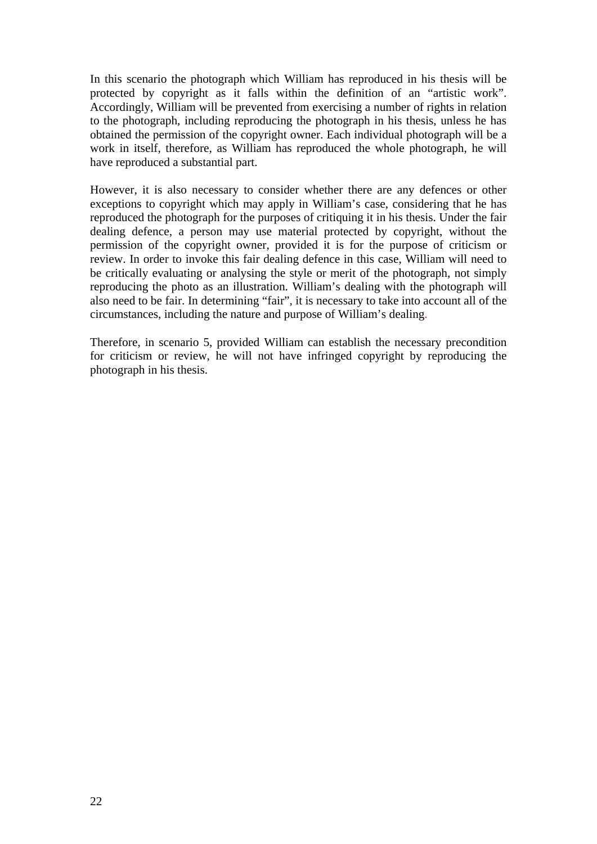In this scenario the photograph which William has reproduced in his thesis will be protected by copyright as it falls within the definition of an "artistic work". Accordingly, William will be prevented from exercising a number of rights in relation to the photograph, including reproducing the photograph in his thesis, unless he has obtained the permission of the copyright owner. Each individual photograph will be a work in itself, therefore, as William has reproduced the whole photograph, he will have reproduced a substantial part.

However, it is also necessary to consider whether there are any defences or other exceptions to copyright which may apply in William's case, considering that he has reproduced the photograph for the purposes of critiquing it in his thesis. Under the fair dealing defence, a person may use material protected by copyright, without the permission of the copyright owner, provided it is for the purpose of criticism or review. In order to invoke this fair dealing defence in this case, William will need to be critically evaluating or analysing the style or merit of the photograph, not simply reproducing the photo as an illustration. William's dealing with the photograph will also need to be fair. In determining "fair", it is necessary to take into account all of the circumstances, including the nature and purpose of William's dealing.

Therefore, in scenario 5, provided William can establish the necessary precondition for criticism or review, he will not have infringed copyright by reproducing the photograph in his thesis.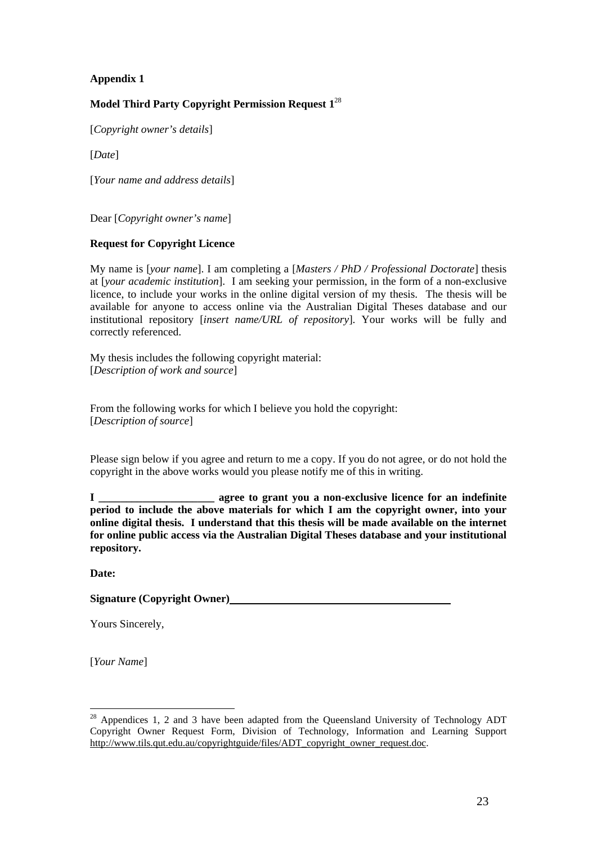### **Model Third Party Copyright Permission Request 1**<sup>28</sup>

[*Copyright owner's details*]

[*Date*]

[*Your name and address details*]

Dear [*Copyright owner's name*]

#### **Request for Copyright Licence**

My name is [*your name*]. I am completing a [*Masters / PhD / Professional Doctorate*] thesis at [*your academic institution*]. I am seeking your permission, in the form of a non-exclusive licence, to include your works in the online digital version of my thesis. The thesis will be available for anyone to access online via the Australian Digital Theses database and our institutional repository [*insert name/URL of repository*]. Your works will be fully and correctly referenced.

My thesis includes the following copyright material: [*Description of work and source*]

From the following works for which I believe you hold the copyright: [*Description of source*]

Please sign below if you agree and return to me a copy. If you do not agree, or do not hold the copyright in the above works would you please notify me of this in writing.

**I \_\_\_\_\_\_\_\_\_\_\_\_\_\_\_\_\_\_\_\_\_ agree to grant you a non-exclusive licence for an indefinite period to include the above materials for which I am the copyright owner, into your online digital thesis. I understand that this thesis will be made available on the internet for online public access via the Australian Digital Theses database and your institutional repository.** 

**Date:** 

**Signature (Copyright Owner)** 

Yours Sincerely,

[*Your Name*]

 $28$  Appendices 1, 2 and 3 have been adapted from the Queensland University of Technology ADT Copyright Owner Request Form, Division of Technology, Information and Learning Support http://www.tils.qut.edu.au/copyrightguide/files/ADT\_copyright\_owner\_request.doc.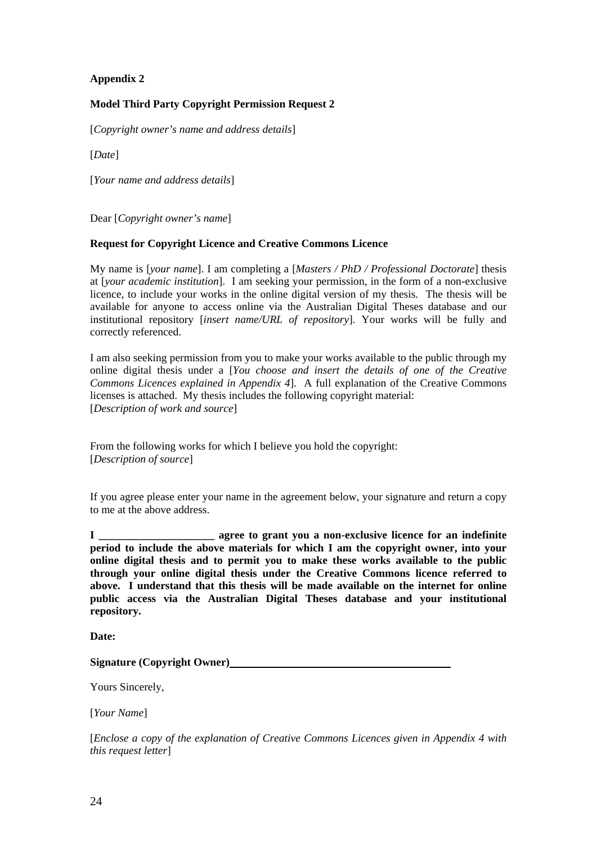#### **Model Third Party Copyright Permission Request 2**

[*Copyright owner's name and address details*]

[*Date*]

[*Your name and address details*]

Dear [*Copyright owner's name*]

#### **Request for Copyright Licence and Creative Commons Licence**

My name is [*your name*]. I am completing a [*Masters / PhD / Professional Doctorate*] thesis at [*your academic institution*]. I am seeking your permission, in the form of a non-exclusive licence, to include your works in the online digital version of my thesis. The thesis will be available for anyone to access online via the Australian Digital Theses database and our institutional repository [*insert name/URL of repository*]. Your works will be fully and correctly referenced.

I am also seeking permission from you to make your works available to the public through my online digital thesis under a [*You choose and insert the details of one of the Creative Commons Licences explained in Appendix 4*]. A full explanation of the Creative Commons licenses is attached. My thesis includes the following copyright material: [*Description of work and source*]

From the following works for which I believe you hold the copyright: [*Description of source*]

If you agree please enter your name in the agreement below, your signature and return a copy to me at the above address.

**I \_\_\_\_\_\_\_\_\_\_\_\_\_\_\_\_\_\_\_\_\_ agree to grant you a non-exclusive licence for an indefinite period to include the above materials for which I am the copyright owner, into your online digital thesis and to permit you to make these works available to the public through your online digital thesis under the Creative Commons licence referred to above. I understand that this thesis will be made available on the internet for online public access via the Australian Digital Theses database and your institutional repository.** 

**Date:** 

**Signature (Copyright Owner)** 

Yours Sincerely,

[*Your Name*]

[*Enclose a copy of the explanation of Creative Commons Licences given in Appendix 4 with this request letter*]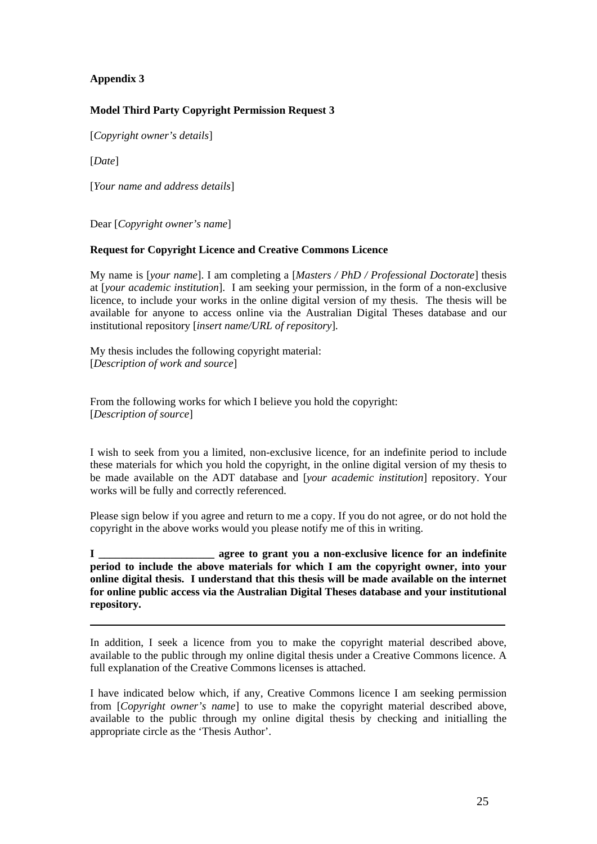#### **Model Third Party Copyright Permission Request 3**

[*Copyright owner's details*]

[*Date*]

[*Your name and address details*]

Dear [*Copyright owner's name*]

#### **Request for Copyright Licence and Creative Commons Licence**

My name is [*your name*]. I am completing a [*Masters / PhD / Professional Doctorate*] thesis at [*your academic institution*]. I am seeking your permission, in the form of a non-exclusive licence, to include your works in the online digital version of my thesis. The thesis will be available for anyone to access online via the Australian Digital Theses database and our institutional repository [*insert name/URL of repository*].

My thesis includes the following copyright material: [*Description of work and source*]

From the following works for which I believe you hold the copyright: [*Description of source*]

I wish to seek from you a limited, non-exclusive licence, for an indefinite period to include these materials for which you hold the copyright, in the online digital version of my thesis to be made available on the ADT database and [*your academic institution*] repository. Your works will be fully and correctly referenced.

Please sign below if you agree and return to me a copy. If you do not agree, or do not hold the copyright in the above works would you please notify me of this in writing.

**I \_\_\_\_\_\_\_\_\_\_\_\_\_\_\_\_\_\_\_\_\_ agree to grant you a non-exclusive licence for an indefinite period to include the above materials for which I am the copyright owner, into your online digital thesis. I understand that this thesis will be made available on the internet for online public access via the Australian Digital Theses database and your institutional repository.** 

In addition, I seek a licence from you to make the copyright material described above, available to the public through my online digital thesis under a Creative Commons licence. A full explanation of the Creative Commons licenses is attached.

I have indicated below which, if any, Creative Commons licence I am seeking permission from [*Copyright owner's name*] to use to make the copyright material described above, available to the public through my online digital thesis by checking and initialling the appropriate circle as the 'Thesis Author'.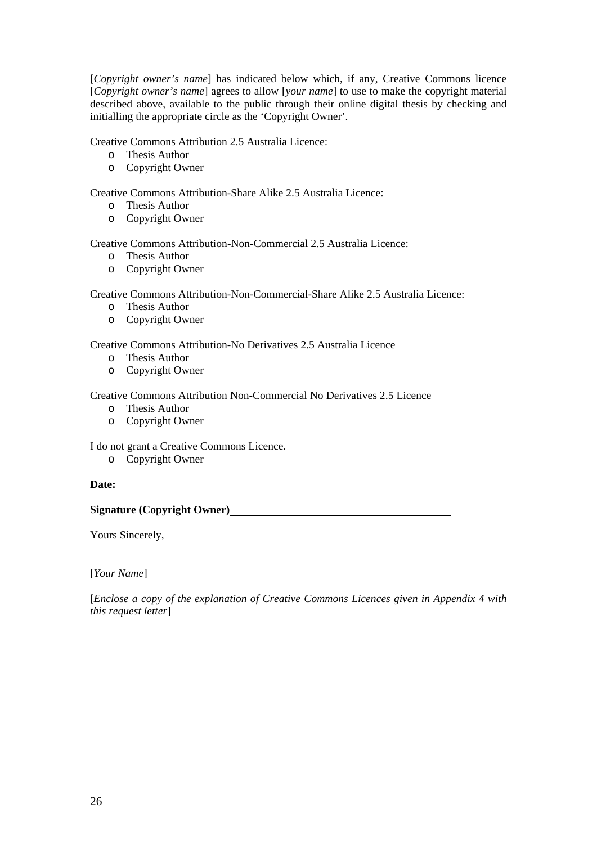[*Copyright owner's name*] has indicated below which, if any, Creative Commons licence [*Copyright owner's name*] agrees to allow [*your name*] to use to make the copyright material described above, available to the public through their online digital thesis by checking and initialling the appropriate circle as the 'Copyright Owner'.

Creative Commons Attribution 2.5 Australia Licence:

- o Thesis Author
- o Copyright Owner

Creative Commons Attribution-Share Alike 2.5 Australia Licence:

- o Thesis Author
- o Copyright Owner

Creative Commons Attribution-Non-Commercial 2.5 Australia Licence:

- o Thesis Author
- o Copyright Owner

Creative Commons Attribution-Non-Commercial-Share Alike 2.5 Australia Licence:

- o Thesis Author
- o Copyright Owner

Creative Commons Attribution-No Derivatives 2.5 Australia Licence

- o Thesis Author
- o Copyright Owner

Creative Commons Attribution Non-Commercial No Derivatives 2.5 Licence

- o Thesis Author
- o Copyright Owner

I do not grant a Creative Commons Licence.

o Copyright Owner

#### **Date:**

**Signature (Copyright Owner)** 

Yours Sincerely,

[*Your Name*]

[*Enclose a copy of the explanation of Creative Commons Licences given in Appendix 4 with this request letter*]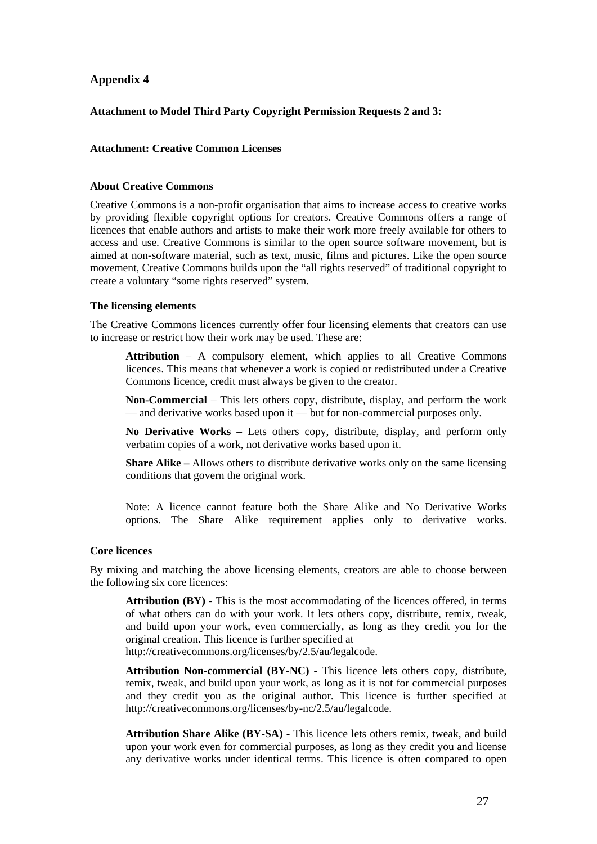#### **Attachment to Model Third Party Copyright Permission Requests 2 and 3:**

#### **Attachment: Creative Common Licenses**

#### **About Creative Commons**

Creative Commons is a non-profit organisation that aims to increase access to creative works by providing flexible copyright options for creators. Creative Commons offers a range of licences that enable authors and artists to make their work more freely available for others to access and use. Creative Commons is similar to the open source software movement, but is aimed at non-software material, such as text, music, films and pictures. Like the open source movement, Creative Commons builds upon the "all rights reserved" of traditional copyright to create a voluntary "some rights reserved" system.

#### **The licensing elements**

The Creative Commons licences currently offer four licensing elements that creators can use to increase or restrict how their work may be used. These are:

**Attribution** – A compulsory element, which applies to all Creative Commons licences. This means that whenever a work is copied or redistributed under a Creative Commons licence, credit must always be given to the creator.

**Non-Commercial** – This lets others copy, distribute, display, and perform the work — and derivative works based upon it — but for non-commercial purposes only.

**No Derivative Works** – Lets others copy, distribute, display, and perform only verbatim copies of a work, not derivative works based upon it.

**Share Alike –** Allows others to distribute derivative works only on the same licensing conditions that govern the original work.

Note: A licence cannot feature both the Share Alike and No Derivative Works options. The Share Alike requirement applies only to derivative works.

#### **Core licences**

By mixing and matching the above licensing elements, creators are able to choose between the following six core licences:

**Attribution (BY)** - This is the most accommodating of the licences offered, in terms of what others can do with your work. It lets others copy, distribute, remix, tweak, and build upon your work, even commercially, as long as they credit you for the original creation. This licence is further specified at http://creativecommons.org/licenses/by/2.5/au/legalcode.

**Attribution Non-commercial (BY-NC)** - This licence lets others copy, distribute, remix, tweak, and build upon your work, as long as it is not for commercial purposes and they credit you as the original author. This licence is further specified at http://creativecommons.org/licenses/by-nc/2.5/au/legalcode.

**Attribution Share Alike (BY-SA)** - This licence lets others remix, tweak, and build upon your work even for commercial purposes, as long as they credit you and license any derivative works under identical terms. This licence is often compared to open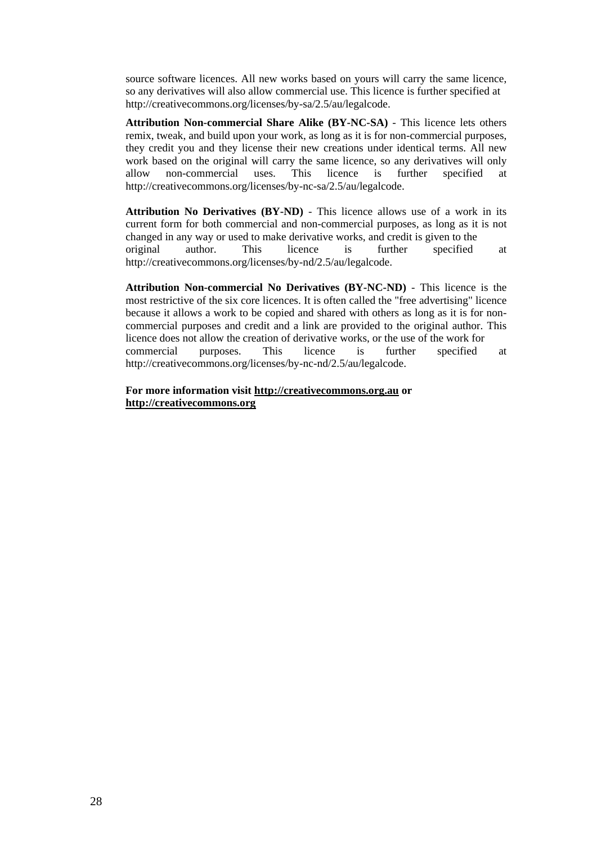source software licences. All new works based on yours will carry the same licence, so any derivatives will also allow commercial use. This licence is further specified at http://creativecommons.org/licenses/by-sa/2.5/au/legalcode.

**Attribution Non-commercial Share Alike (BY-NC-SA)** - This licence lets others remix, tweak, and build upon your work, as long as it is for non-commercial purposes, they credit you and they license their new creations under identical terms. All new work based on the original will carry the same licence, so any derivatives will only allow non-commercial uses. This licence is further specified at http://creativecommons.org/licenses/by-nc-sa/2.5/au/legalcode.

**Attribution No Derivatives (BY-ND)** - This licence allows use of a work in its current form for both commercial and non-commercial purposes, as long as it is not changed in any way or used to make derivative works, and credit is given to the original author. This licence is further specified at http://creativecommons.org/licenses/by-nd/2.5/au/legalcode.

**Attribution Non-commercial No Derivatives (BY-NC-ND)** - This licence is the most restrictive of the six core licences. It is often called the "free advertising" licence because it allows a work to be copied and shared with others as long as it is for noncommercial purposes and credit and a link are provided to the original author. This licence does not allow the creation of derivative works, or the use of the work for commercial purposes. This licence is further specified at http://creativecommons.org/licenses/by-nc-nd/2.5/au/legalcode.

**For more information visit http://creativecommons.org.au or http://creativecommons.org**